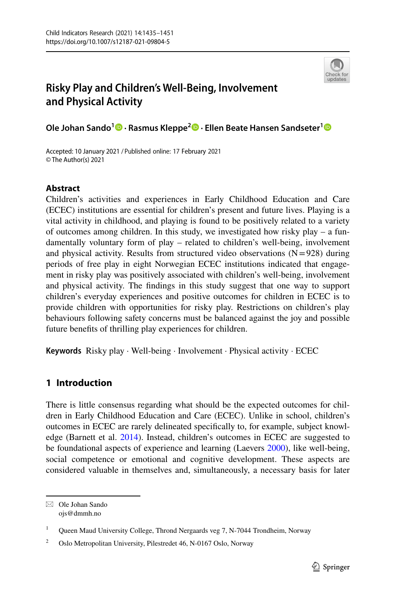

# **Risky Play and Children's Well‑Being, Involvement and Physical Activity**

**Ole Johan Sando1 · Rasmus Kleppe2  [·](http://orcid.org/0000-0002-6732-8153) Ellen Beate Hansen Sandseter[1](http://orcid.org/0000-0002-3315-6955)**

Accepted: 10 January 2021 / Published online: 17 February 2021© The Author(s) 2021

# **Abstract**

Children's activities and experiences in Early Childhood Education and Care (ECEC) institutions are essential for children's present and future lives. Playing is a vital activity in childhood, and playing is found to be positively related to a variety of outcomes among children. In this study, we investigated how risky play – a fundamentally voluntary form of play – related to children's well-being, involvement and physical activity. Results from structured video observations  $(N=928)$  during periods of free play in eight Norwegian ECEC institutions indicated that engagement in risky play was positively associated with children's well-being, involvement and physical activity. The fndings in this study suggest that one way to support children's everyday experiences and positive outcomes for children in ECEC is to provide children with opportunities for risky play. Restrictions on children's play behaviours following safety concerns must be balanced against the joy and possible future benefts of thrilling play experiences for children.

**Keywords** Risky play · Well-being · Involvement · Physical activity · ECEC

# **1 Introduction**

There is little consensus regarding what should be the expected outcomes for children in Early Childhood Education and Care (ECEC). Unlike in school, children's outcomes in ECEC are rarely delineated specifcally to, for example, subject knowledge (Barnett et al. [2014](#page-13-0)). Instead, children's outcomes in ECEC are suggested to be foundational aspects of experience and learning (Laevers [2000\)](#page-15-0), like well-being, social competence or emotional and cognitive development. These aspects are considered valuable in themselves and, simultaneously, a necessary basis for later

 $\boxtimes$  Ole Johan Sando ojs@dmmh.no

<sup>&</sup>lt;sup>1</sup> Queen Maud University College, Thrond Nergaards veg 7, N-7044 Trondheim, Norway

<sup>&</sup>lt;sup>2</sup> Oslo Metropolitan University, Pilestredet 46, N-0167 Oslo, Norway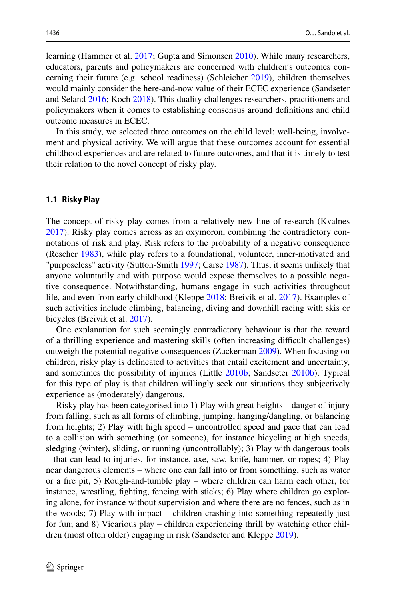learning (Hammer et al. [2017;](#page-14-0) Gupta and Simonsen [2010](#page-14-1)). While many researchers, educators, parents and policymakers are concerned with children's outcomes concerning their future (e.g. school readiness) (Schleicher [2019\)](#page-16-0), children themselves would mainly consider the here-and-now value of their ECEC experience (Sandseter and Seland [2016](#page-16-1); Koch [2018](#page-14-2)). This duality challenges researchers, practitioners and policymakers when it comes to establishing consensus around defnitions and child outcome measures in ECEC.

In this study, we selected three outcomes on the child level: well-being, involvement and physical activity. We will argue that these outcomes account for essential childhood experiences and are related to future outcomes, and that it is timely to test their relation to the novel concept of risky play.

### **1.1 Risky Play**

The concept of risky play comes from a relatively new line of research (Kvalnes [2017](#page-14-3)). Risky play comes across as an oxymoron, combining the contradictory connotations of risk and play. Risk refers to the probability of a negative consequence (Rescher [1983](#page-15-1)), while play refers to a foundational, volunteer, inner-motivated and "purposeless" activity (Sutton-Smith [1997](#page-16-2); Carse [1987](#page-14-4)). Thus, it seems unlikely that anyone voluntarily and with purpose would expose themselves to a possible negative consequence. Notwithstanding, humans engage in such activities throughout life, and even from early childhood (Kleppe [2018](#page-14-5); Breivik et al. [2017\)](#page-13-1). Examples of such activities include climbing, balancing, diving and downhill racing with skis or bicycles (Breivik et al. [2017\)](#page-13-1).

One explanation for such seemingly contradictory behaviour is that the reward of a thrilling experience and mastering skills (often increasing difcult challenges) outweigh the potential negative consequences (Zuckerman [2009](#page-16-3)). When focusing on children, risky play is delineated to activities that entail excitement and uncertainty, and sometimes the possibility of injuries (Little [2010b](#page-15-2); Sandseter [2010b\)](#page-15-3). Typical for this type of play is that children willingly seek out situations they subjectively experience as (moderately) dangerous.

Risky play has been categorised into 1) Play with great heights – danger of injury from falling, such as all forms of climbing, jumping, hanging/dangling, or balancing from heights; 2) Play with high speed – uncontrolled speed and pace that can lead to a collision with something (or someone), for instance bicycling at high speeds, sledging (winter), sliding, or running (uncontrollably); 3) Play with dangerous tools – that can lead to injuries, for instance, axe, saw, knife, hammer, or ropes; 4) Play near dangerous elements – where one can fall into or from something, such as water or a fre pit, 5) Rough-and-tumble play – where children can harm each other, for instance, wrestling, fghting, fencing with sticks; 6) Play where children go exploring alone, for instance without supervision and where there are no fences, such as in the woods; 7) Play with impact – children crashing into something repeatedly just for fun; and 8) Vicarious play – children experiencing thrill by watching other children (most often older) engaging in risk (Sandseter and Kleppe [2019\)](#page-16-4).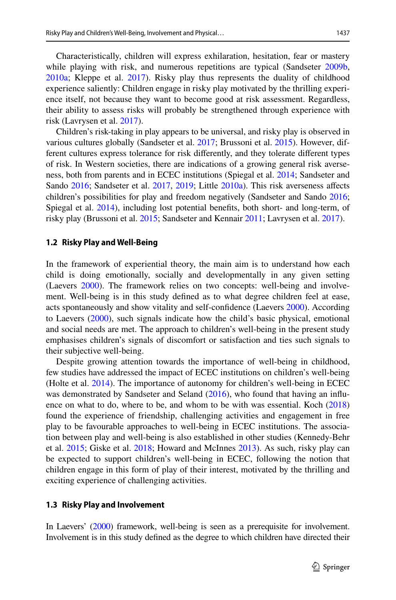Characteristically, children will express exhilaration, hesitation, fear or mastery while playing with risk, and numerous repetitions are typical (Sandseter [2009b,](#page-15-4) [2010a](#page-15-5); Kleppe et al. [2017\)](#page-14-6). Risky play thus represents the duality of childhood experience saliently: Children engage in risky play motivated by the thrilling experience itself, not because they want to become good at risk assessment. Regardless, their ability to assess risks will probably be strengthened through experience with risk (Lavrysen et al. [2017](#page-15-6)).

Children's risk-taking in play appears to be universal, and risky play is observed in various cultures globally (Sandseter et al. [2017;](#page-15-7) Brussoni et al. [2015\)](#page-13-2). However, different cultures express tolerance for risk differently, and they tolerate different types of risk. In Western societies, there are indications of a growing general risk averseness, both from parents and in ECEC institutions (Spiegal et al. [2014](#page-16-5); Sandseter and Sando [2016;](#page-16-6) Sandseter et al. [2017](#page-15-7), [2019;](#page-16-7) Little [2010a\)](#page-15-8). This risk averseness afects children's possibilities for play and freedom negatively (Sandseter and Sando [2016;](#page-16-6) Spiegal et al. [2014](#page-16-5)), including lost potential benefts, both short- and long-term, of risky play (Brussoni et al. [2015](#page-13-2); Sandseter and Kennair [2011;](#page-16-8) Lavrysen et al. [2017](#page-15-6)).

#### **1.2 Risky Play and Well‑Being**

In the framework of experiential theory, the main aim is to understand how each child is doing emotionally, socially and developmentally in any given setting (Laevers [2000](#page-15-0)). The framework relies on two concepts: well-being and involvement. Well-being is in this study defned as to what degree children feel at ease, acts spontaneously and show vitality and self-confdence (Laevers [2000\)](#page-15-0). According to Laevers ([2000\)](#page-15-0), such signals indicate how the child's basic physical, emotional and social needs are met. The approach to children's well-being in the present study emphasises children's signals of discomfort or satisfaction and ties such signals to their subjective well-being.

Despite growing attention towards the importance of well-being in childhood, few studies have addressed the impact of ECEC institutions on children's well-being (Holte et al. [2014\)](#page-14-7). The importance of autonomy for children's well-being in ECEC was demonstrated by Sandseter and Seland [\(2016](#page-16-1)), who found that having an influ-ence on what to do, where to be, and whom to be with was essential. Koch [\(2018](#page-14-2)) found the experience of friendship, challenging activities and engagement in free play to be favourable approaches to well-being in ECEC institutions. The association between play and well-being is also established in other studies (Kennedy-Behr et al. [2015;](#page-14-8) Giske et al. [2018;](#page-14-9) Howard and McInnes [2013\)](#page-14-10). As such, risky play can be expected to support children's well-being in ECEC, following the notion that children engage in this form of play of their interest, motivated by the thrilling and exciting experience of challenging activities.

#### **1.3 Risky Play and Involvement**

In Laevers' [\(2000\)](#page-15-0) framework, well-being is seen as a prerequisite for involvement. Involvement is in this study defned as the degree to which children have directed their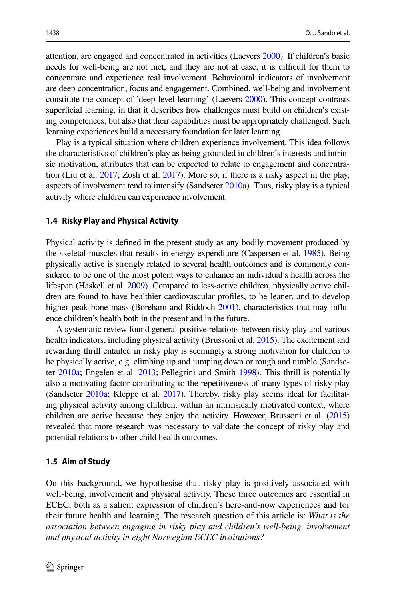attention, are engaged and concentrated in activities (Laevers [2000\)](#page-15-0). If children's basic needs for well-being are not met, and they are not at ease, it is difficult for them to concentrate and experience real involvement. Behavioural indicators of involvement are deep concentration, focus and engagement. Combined, well-being and involvement constitute the concept of 'deep level learning' (Laevers [2000](#page-15-0)). This concept contrasts superficial learning, in that it describes how challenges must build on children's existing competences, but also that their capabilities must be appropriately challenged. Such learning experiences build a necessary foundation for later learning.

Play is a typical situation where children experience involvement. This idea follows the characteristics of children's play as being grounded in children's interests and intrinsic motivation, attributes that can be expected to relate to engagement and concentration (Liu et al. [2017](#page-15-9); Zosh et al. [2017](#page-16-9)). More so, if there is a risky aspect in the play, aspects of involvement tend to intensify (Sandseter [2010a\)](#page-15-4). Thus, risky play is a typical activity where children can experience involvement.

#### **1.4 Risky Play and Physical Activity**

Physical activity is defned in the present study as any bodily movement produced by the skeletal muscles that results in energy expenditure (Caspersen et al. [1985](#page-14-11)). Being physically active is strongly related to several health outcomes and is commonly considered to be one of the most potent ways to enhance an individual's health across the lifespan (Haskell et al. [2009\)](#page-14-12). Compared to less-active children, physically active children are found to have healthier cardiovascular profles, to be leaner, and to develop higher peak bone mass (Boreham and Riddoch [2001\)](#page-13-3), characteristics that may influence children's health both in the present and in the future.

A systematic review found general positive relations between risky play and various health indicators, including physical activity (Brussoni et al. [2015](#page-13-2)). The excitement and rewarding thrill entailed in risky play is seemingly a strong motivation for children to be physically active, e.g. climbing up and jumping down or rough and tumble (Sandseter [2010a;](#page-15-4) Engelen et al. [2013](#page-14-13); Pellegrini and Smith [1998\)](#page-15-10). This thrill is potentially also a motivating factor contributing to the repetitiveness of many types of risky play (Sandseter [2010a](#page-15-4); Kleppe et al. [2017\)](#page-14-6). Thereby, risky play seems ideal for facilitating physical activity among children, within an intrinsically motivated context, where children are active because they enjoy the activity. However, Brussoni et al. ([2015](#page-13-2)) revealed that more research was necessary to validate the concept of risky play and potential relations to other child health outcomes.

#### **1.5 Aim of Study**

On this background, we hypothesise that risky play is positively associated with well-being, involvement and physical activity. These three outcomes are essential in ECEC, both as a salient expression of children's here-and-now experiences and for their future health and learning. The research question of this article is: *What is the association between engaging in risky play and children's well-being, involvement and physical activity in eight Norwegian ECEC institutions?*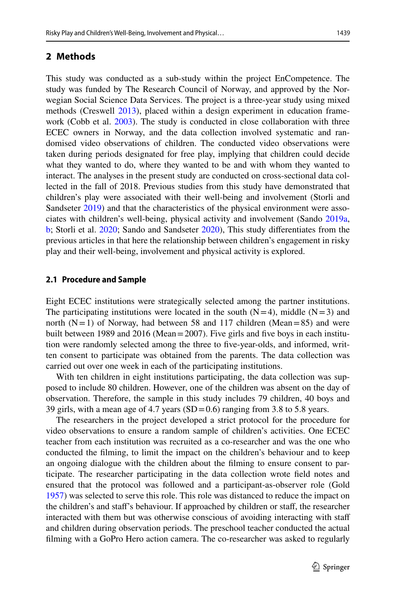### **2 Methods**

This study was conducted as a sub-study within the project EnCompetence. The study was funded by The Research Council of Norway, and approved by the Norwegian Social Science Data Services. The project is a three-year study using mixed methods (Creswell [2013](#page-14-14)), placed within a design experiment in education framework (Cobb et al. [2003](#page-14-15)). The study is conducted in close collaboration with three ECEC owners in Norway, and the data collection involved systematic and randomised video observations of children. The conducted video observations were taken during periods designated for free play, implying that children could decide what they wanted to do, where they wanted to be and with whom they wanted to interact. The analyses in the present study are conducted on cross-sectional data collected in the fall of 2018. Previous studies from this study have demonstrated that children's play were associated with their well-being and involvement (Storli and Sandseter [2019\)](#page-16-10) and that the characteristics of the physical environment were associates with children's well-being, physical activity and involvement (Sando [2019a,](#page-15-11) [b](#page-15-12); Storli et al. [2020](#page-16-11); Sando and Sandseter [2020\)](#page-15-13), This study diferentiates from the previous articles in that here the relationship between children's engagement in risky play and their well-being, involvement and physical activity is explored.

#### **2.1 Procedure and Sample**

Eight ECEC institutions were strategically selected among the partner institutions. The participating institutions were located in the south  $(N=4)$ , middle  $(N=3)$  and north  $(N=1)$  of Norway, had between 58 and 117 children (Mean=85) and were built between 1989 and 2016 (Mean=2007). Five girls and fve boys in each institution were randomly selected among the three to fve-year-olds, and informed, written consent to participate was obtained from the parents. The data collection was carried out over one week in each of the participating institutions.

With ten children in eight institutions participating, the data collection was supposed to include 80 children. However, one of the children was absent on the day of observation. Therefore, the sample in this study includes 79 children, 40 boys and 39 girls, with a mean age of 4.7 years  $(SD=0.6)$  ranging from 3.8 to 5.8 years.

The researchers in the project developed a strict protocol for the procedure for video observations to ensure a random sample of children's activities. One ECEC teacher from each institution was recruited as a co-researcher and was the one who conducted the flming, to limit the impact on the children's behaviour and to keep an ongoing dialogue with the children about the flming to ensure consent to participate. The researcher participating in the data collection wrote feld notes and ensured that the protocol was followed and a participant-as-observer role (Gold [1957](#page-14-16)) was selected to serve this role. This role was distanced to reduce the impact on the children's and staff's behaviour. If approached by children or staff, the researcher interacted with them but was otherwise conscious of avoiding interacting with staf and children during observation periods. The preschool teacher conducted the actual flming with a GoPro Hero action camera. The co-researcher was asked to regularly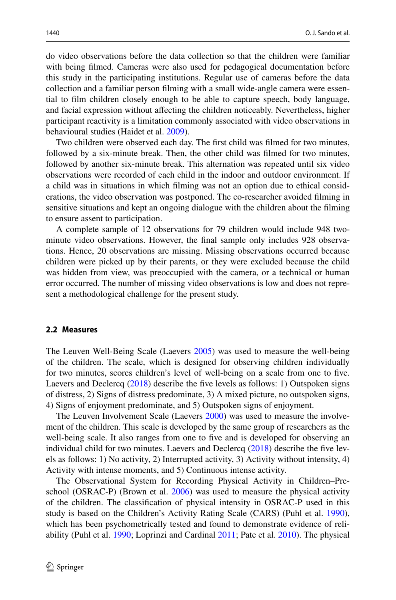do video observations before the data collection so that the children were familiar with being flmed. Cameras were also used for pedagogical documentation before this study in the participating institutions. Regular use of cameras before the data collection and a familiar person flming with a small wide-angle camera were essential to flm children closely enough to be able to capture speech, body language, and facial expression without afecting the children noticeably. Nevertheless, higher participant reactivity is a limitation commonly associated with video observations in behavioural studies (Haidet et al. [2009\)](#page-14-17).

Two children were observed each day. The frst child was flmed for two minutes, followed by a six-minute break. Then, the other child was flmed for two minutes, followed by another six-minute break. This alternation was repeated until six video observations were recorded of each child in the indoor and outdoor environment. If a child was in situations in which flming was not an option due to ethical considerations, the video observation was postponed. The co-researcher avoided flming in sensitive situations and kept an ongoing dialogue with the children about the flming to ensure assent to participation.

A complete sample of 12 observations for 79 children would include 948 twominute video observations. However, the fnal sample only includes 928 observations. Hence, 20 observations are missing. Missing observations occurred because children were picked up by their parents, or they were excluded because the child was hidden from view, was preoccupied with the camera, or a technical or human error occurred. The number of missing video observations is low and does not represent a methodological challenge for the present study.

#### **2.2 Measures**

The Leuven Well-Being Scale (Laevers [2005](#page-15-14)) was used to measure the well-being of the children. The scale, which is designed for observing children individually for two minutes, scores children's level of well-being on a scale from one to fve. Laevers and Declercq [\(2018](#page-15-15)) describe the fve levels as follows: 1) Outspoken signs of distress, 2) Signs of distress predominate, 3) A mixed picture, no outspoken signs, 4) Signs of enjoyment predominate, and 5) Outspoken signs of enjoyment.

The Leuven Involvement Scale (Laevers [2000](#page-15-0)) was used to measure the involvement of the children. This scale is developed by the same group of researchers as the well-being scale. It also ranges from one to five and is developed for observing an individual child for two minutes. Laevers and Declercq [\(2018](#page-15-15)) describe the fve levels as follows: 1) No activity, 2) Interrupted activity, 3) Activity without intensity, 4) Activity with intense moments, and 5) Continuous intense activity.

The Observational System for Recording Physical Activity in Children–Preschool (OSRAC-P) (Brown et al. [2006](#page-13-4)) was used to measure the physical activity of the children. The classifcation of physical intensity in OSRAC-P used in this study is based on the Children's Activity Rating Scale (CARS) (Puhl et al. [1990\)](#page-15-16), which has been psychometrically tested and found to demonstrate evidence of reliability (Puhl et al. [1990](#page-15-16); Loprinzi and Cardinal [2011;](#page-15-17) Pate et al. [2010\)](#page-15-18). The physical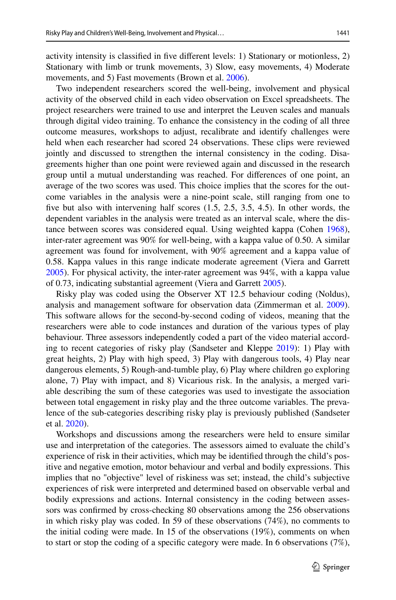activity intensity is classifed in fve diferent levels: 1) Stationary or motionless, 2) Stationary with limb or trunk movements, 3) Slow, easy movements, 4) Moderate movements, and 5) Fast movements (Brown et al. [2006](#page-13-4)).

Two independent researchers scored the well-being, involvement and physical activity of the observed child in each video observation on Excel spreadsheets. The project researchers were trained to use and interpret the Leuven scales and manuals through digital video training. To enhance the consistency in the coding of all three outcome measures, workshops to adjust, recalibrate and identify challenges were held when each researcher had scored 24 observations. These clips were reviewed jointly and discussed to strengthen the internal consistency in the coding. Disagreements higher than one point were reviewed again and discussed in the research group until a mutual understanding was reached. For diferences of one point, an average of the two scores was used. This choice implies that the scores for the outcome variables in the analysis were a nine-point scale, still ranging from one to five but also with intervening half scores  $(1.5, 2.5, 3.5, 4.5)$ . In other words, the dependent variables in the analysis were treated as an interval scale, where the distance between scores was considered equal. Using weighted kappa (Cohen [1968\)](#page-14-18), inter-rater agreement was 90% for well-being, with a kappa value of 0.50. A similar agreement was found for involvement, with 90% agreement and a kappa value of 0.58. Kappa values in this range indicate moderate agreement (Viera and Garrett [2005](#page-16-12)). For physical activity, the inter-rater agreement was 94%, with a kappa value of 0.73, indicating substantial agreement (Viera and Garrett [2005](#page-16-12)).

Risky play was coded using the Observer XT 12.5 behaviour coding (Noldus), analysis and management software for observation data (Zimmerman et al. [2009\)](#page-16-13). This software allows for the second-by-second coding of videos, meaning that the researchers were able to code instances and duration of the various types of play behaviour. Three assessors independently coded a part of the video material according to recent categories of risky play (Sandseter and Kleppe [2019\)](#page-16-4): 1) Play with great heights, 2) Play with high speed, 3) Play with dangerous tools, 4) Play near dangerous elements, 5) Rough-and-tumble play, 6) Play where children go exploring alone, 7) Play with impact, and 8) Vicarious risk. In the analysis, a merged variable describing the sum of these categories was used to investigate the association between total engagement in risky play and the three outcome variables. The prevalence of the sub-categories describing risky play is previously published (Sandseter et al. [2020\)](#page-16-14).

Workshops and discussions among the researchers were held to ensure similar use and interpretation of the categories. The assessors aimed to evaluate the child's experience of risk in their activities, which may be identifed through the child's positive and negative emotion, motor behaviour and verbal and bodily expressions. This implies that no "objective" level of riskiness was set; instead, the child's subjective experiences of risk were interpreted and determined based on observable verbal and bodily expressions and actions. Internal consistency in the coding between assessors was confrmed by cross-checking 80 observations among the 256 observations in which risky play was coded. In 59 of these observations (74%), no comments to the initial coding were made. In 15 of the observations (19%), comments on when to start or stop the coding of a specifc category were made. In 6 observations (7%),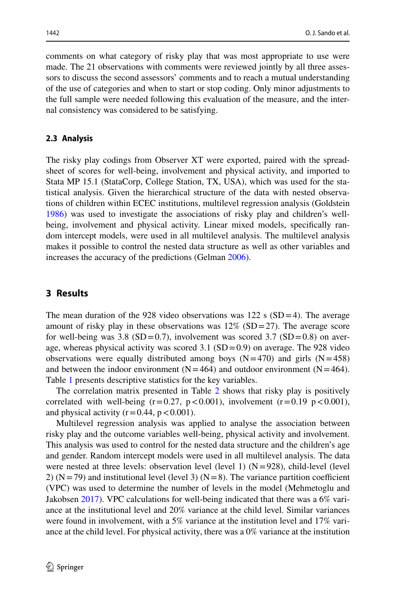comments on what category of risky play that was most appropriate to use were made. The 21 observations with comments were reviewed jointly by all three assessors to discuss the second assessors' comments and to reach a mutual understanding of the use of categories and when to start or stop coding. Only minor adjustments to the full sample were needed following this evaluation of the measure, and the internal consistency was considered to be satisfying.

### **2.3 Analysis**

The risky play codings from Observer XT were exported, paired with the spreadsheet of scores for well-being, involvement and physical activity, and imported to Stata MP 15.1 (StataCorp, College Station, TX, USA), which was used for the statistical analysis. Given the hierarchical structure of the data with nested observations of children within ECEC institutions, multilevel regression analysis (Goldstein [1986](#page-14-19)) was used to investigate the associations of risky play and children's wellbeing, involvement and physical activity. Linear mixed models, specifcally random intercept models, were used in all multilevel analysis. The multilevel analysis makes it possible to control the nested data structure as well as other variables and increases the accuracy of the predictions (Gelman [2006](#page-14-20)).

# **3 Results**

The mean duration of the 928 video observations was  $122 \text{ s (SD=4)}$ . The average amount of risky play in these observations was  $12\%$  (SD=27). The average score for well-being was 3.8 (SD=0.7), involvement was scored 3.7 (SD=0.8) on average, whereas physical activity was scored  $3.1 \text{ (SD = 0.9)}$  on average. The 928 video observations were equally distributed among boys  $(N=470)$  and girls  $(N=458)$ and between the indoor environment ( $N=464$ ) and outdoor environment ( $N=464$ ). Table [1](#page-8-0) presents descriptive statistics for the key variables.

The correlation matrix presented in Table [2](#page-8-1) shows that risky play is positively correlated with well-being  $(r=0.27, p<0.001)$ , involvement  $(r=0.19, p<0.001)$ , and physical activity  $(r=0.44, p<0.001)$ .

Multilevel regression analysis was applied to analyse the association between risky play and the outcome variables well-being, physical activity and involvement. This analysis was used to control for the nested data structure and the children's age and gender. Random intercept models were used in all multilevel analysis. The data were nested at three levels: observation level (level 1)  $(N=928)$ , child-level (level 2) ( $N=79$ ) and institutional level (level 3) ( $N=8$ ). The variance partition coefficient (VPC) was used to determine the number of levels in the model (Mehmetoglu and Jakobsen [2017\)](#page-15-19). VPC calculations for well-being indicated that there was a 6% variance at the institutional level and 20% variance at the child level. Similar variances were found in involvement, with a 5% variance at the institution level and 17% variance at the child level. For physical activity, there was a 0% variance at the institution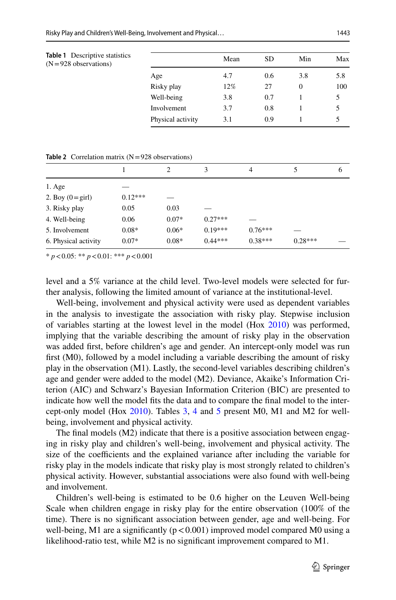<span id="page-8-0"></span>

| <b>Table 1</b> Descriptive statistics<br>$(N=928$ observations) |                   | Mean | <b>SD</b> | Min      | Max |
|-----------------------------------------------------------------|-------------------|------|-----------|----------|-----|
|                                                                 | Age               | 4.7  | 0.6       | 3.8      | 5.8 |
|                                                                 | Risky play        | 12%  | 27        | $\Omega$ | 100 |
|                                                                 | Well-being        | 3.8  | 0.7       |          | 5   |
|                                                                 | Involvement       | 3.7  | 0.8       |          | 5   |
|                                                                 | Physical activity | 3.1  | 0.9       |          | 5   |
|                                                                 |                   |      |           |          |     |

<span id="page-8-1"></span>

|  |  | <b>Table 2</b> Correlation matrix $(N = 928$ observations) |  |
|--|--|------------------------------------------------------------|--|
|  |  |                                                            |  |

|                            |           |         |           | 4         |           | 6 |
|----------------------------|-----------|---------|-----------|-----------|-----------|---|
| 1. Age                     |           |         |           |           |           |   |
| 2. Boy $(0 = \text{girl})$ | $0.12***$ |         |           |           |           |   |
| 3. Risky play              | 0.05      | 0.03    |           |           |           |   |
| 4. Well-being              | 0.06      | $0.07*$ | $0.27***$ |           |           |   |
| 5. Involvement             | $0.08*$   | $0.06*$ | $0.19***$ | $0.76***$ |           |   |
| 6. Physical activity       | $0.07*$   | $0.08*$ | $0.44***$ | $0.38***$ | $0.28***$ |   |

\* *p*<0.05: \*\* *p*<0.01: \*\*\* *p*<0.001

level and a 5% variance at the child level. Two-level models were selected for further analysis, following the limited amount of variance at the institutional-level.

Well-being, involvement and physical activity were used as dependent variables in the analysis to investigate the association with risky play. Stepwise inclusion of variables starting at the lowest level in the model (Hox [2010\)](#page-14-21) was performed, implying that the variable describing the amount of risky play in the observation was added frst, before children's age and gender. An intercept-only model was run frst (M0), followed by a model including a variable describing the amount of risky play in the observation (M1). Lastly, the second-level variables describing children's age and gender were added to the model (M2). Deviance, Akaike's Information Criterion (AIC) and Schwarz's Bayesian Information Criterion (BIC) are presented to indicate how well the model fts the data and to compare the fnal model to the intercept-only model (Hox [2010](#page-14-21)). Tables [3](#page-9-0), [4](#page-9-1) and [5](#page-10-0) present M0, M1 and M2 for wellbeing, involvement and physical activity.

The fnal models (M2) indicate that there is a positive association between engaging in risky play and children's well-being, involvement and physical activity. The size of the coefficients and the explained variance after including the variable for risky play in the models indicate that risky play is most strongly related to children's physical activity. However, substantial associations were also found with well-being and involvement.

Children's well-being is estimated to be 0.6 higher on the Leuven Well-being Scale when children engage in risky play for the entire observation (100% of the time). There is no signifcant association between gender, age and well-being. For well-being, M1 are a significantly  $(p < 0.001)$  improved model compared M0 using a likelihood-ratio test, while M2 is no signifcant improvement compared to M1.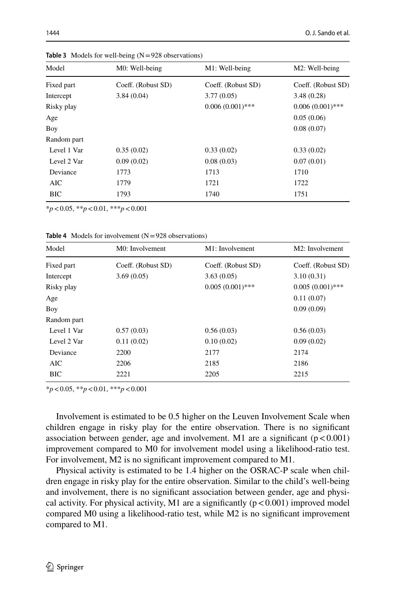| Model       | M0: Well-being     | M1: Well-being     | M2: Well-being     |
|-------------|--------------------|--------------------|--------------------|
| Fixed part  | Coeff. (Robust SD) | Coeff. (Robust SD) | Coeff. (Robust SD) |
| Intercept   | 3.84(0.04)         | 3.77(0.05)         | 3.48(0.28)         |
| Risky play  |                    | $0.006(0.001)$ *** | $0.006(0.001)$ *** |
| Age         |                    |                    | 0.05(0.06)         |
| Boy         |                    |                    | 0.08(0.07)         |
| Random part |                    |                    |                    |
| Level 1 Var | 0.35(0.02)         | 0.33(0.02)         | 0.33(0.02)         |
| Level 2 Var | 0.09(0.02)         | 0.08(0.03)         | 0.07(0.01)         |
| Deviance    | 1773               | 1713               | 1710               |
| AIC         | 1779               | 1721               | 1722               |
| <b>BIC</b>  | 1793               | 1740               | 1751               |

<span id="page-9-0"></span>**Table 3** Models for well-being  $(N=928$  observations)

\**p*<0.05, \*\**p*<0.01, \*\*\**p*<0.001

<span id="page-9-1"></span>**Table 4** Models for involvement (N=928 observations)

| Model       | M0: Involvement    | M1: Involvement    | M2: Involvement    |
|-------------|--------------------|--------------------|--------------------|
| Fixed part  | Coeff. (Robust SD) | Coeff. (Robust SD) | Coeff. (Robust SD) |
| Intercept   | 3.69(0.05)         | 3.63(0.05)         | 3.10(0.31)         |
| Risky play  |                    | $0.005(0.001)$ *** | $0.005(0.001)$ *** |
| Age         |                    |                    | 0.11(0.07)         |
| Boy         |                    |                    | 0.09(0.09)         |
| Random part |                    |                    |                    |
| Level 1 Var | 0.57(0.03)         | 0.56(0.03)         | 0.56(0.03)         |
| Level 2 Var | 0.11(0.02)         | 0.10(0.02)         | 0.09(0.02)         |
| Deviance    | 2200               | 2177               | 2174               |
| AIC         | 2206               | 2185               | 2186               |
| <b>BIC</b>  | 2221               | 2205               | 2215               |

\**p*<0.05, \*\**p*<0.01, \*\*\**p*<0.001

Involvement is estimated to be 0.5 higher on the Leuven Involvement Scale when children engage in risky play for the entire observation. There is no signifcant association between gender, age and involvement. M1 are a significant  $(p < 0.001)$ improvement compared to M0 for involvement model using a likelihood-ratio test. For involvement, M2 is no signifcant improvement compared to M1.

Physical activity is estimated to be 1.4 higher on the OSRAC-P scale when children engage in risky play for the entire observation. Similar to the child's well-being and involvement, there is no signifcant association between gender, age and physical activity. For physical activity, M1 are a significantly  $(p < 0.001)$  improved model compared M0 using a likelihood-ratio test, while M2 is no signifcant improvement compared to M1.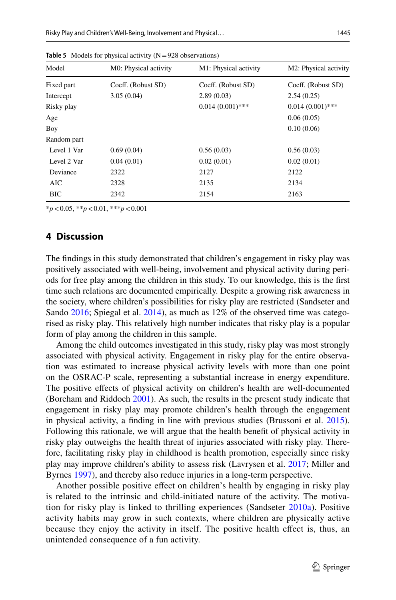| Model       | M0: Physical activity | M1: Physical activity | M <sub>2</sub> : Physical activity |
|-------------|-----------------------|-----------------------|------------------------------------|
| Fixed part  | Coeff. (Robust SD)    | Coeff. (Robust SD)    | Coeff. (Robust SD)                 |
| Intercept   | 3.05(0.04)            | 2.89(0.03)            | 2.54(0.25)                         |
| Risky play  |                       | $0.014(0.001)$ ***    | $0.014(0.001)$ ***                 |
| Age         |                       |                       | 0.06(0.05)                         |
| Boy         |                       |                       | 0.10(0.06)                         |
| Random part |                       |                       |                                    |
| Level 1 Var | 0.69(0.04)            | 0.56(0.03)            | 0.56(0.03)                         |
| Level 2 Var | 0.04(0.01)            | 0.02(0.01)            | 0.02(0.01)                         |
| Deviance    | 2322                  | 2127                  | 2122                               |
| AIC         | 2328                  | 2135                  | 2134                               |
| BIC         | 2342                  | 2154                  | 2163                               |

<span id="page-10-0"></span>**Table 5** Models for physical activity (N=928 observations)

\**p*<0.05, \*\**p*<0.01, \*\*\**p*<0.001

## **4 Discussion**

The fndings in this study demonstrated that children's engagement in risky play was positively associated with well-being, involvement and physical activity during periods for free play among the children in this study. To our knowledge, this is the frst time such relations are documented empirically. Despite a growing risk awareness in the society, where children's possibilities for risky play are restricted (Sandseter and Sando [2016;](#page-16-6) Spiegal et al. [2014](#page-16-5)), as much as 12% of the observed time was categorised as risky play. This relatively high number indicates that risky play is a popular form of play among the children in this sample.

Among the child outcomes investigated in this study, risky play was most strongly associated with physical activity. Engagement in risky play for the entire observation was estimated to increase physical activity levels with more than one point on the OSRAC-P scale, representing a substantial increase in energy expenditure. The positive efects of physical activity on children's health are well-documented (Boreham and Riddoch [2001](#page-13-3)). As such, the results in the present study indicate that engagement in risky play may promote children's health through the engagement in physical activity, a fnding in line with previous studies (Brussoni et al. [2015\)](#page-13-2). Following this rationale, we will argue that the health beneft of physical activity in risky play outweighs the health threat of injuries associated with risky play. Therefore, facilitating risky play in childhood is health promotion, especially since risky play may improve children's ability to assess risk (Lavrysen et al. [2017](#page-15-6); Miller and Byrnes [1997](#page-15-20)), and thereby also reduce injuries in a long-term perspective.

Another possible positive efect on children's health by engaging in risky play is related to the intrinsic and child-initiated nature of the activity. The motivation for risky play is linked to thrilling experiences (Sandseter [2010a\)](#page-15-4). Positive activity habits may grow in such contexts, where children are physically active because they enjoy the activity in itself. The positive health efect is, thus, an unintended consequence of a fun activity.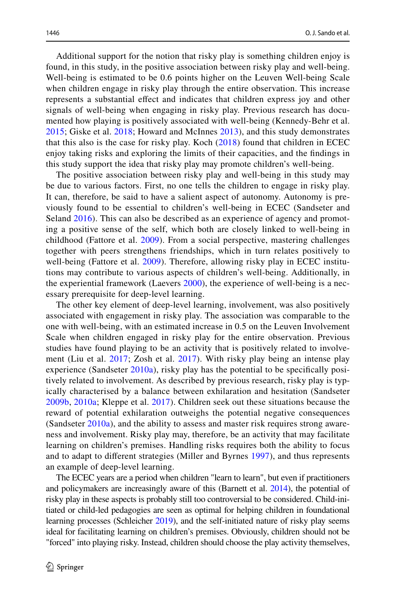Additional support for the notion that risky play is something children enjoy is found, in this study, in the positive association between risky play and well-being. Well-being is estimated to be 0.6 points higher on the Leuven Well-being Scale when children engage in risky play through the entire observation. This increase represents a substantial efect and indicates that children express joy and other signals of well-being when engaging in risky play. Previous research has documented how playing is positively associated with well-being (Kennedy-Behr et al. [2015;](#page-14-8) Giske et al. [2018](#page-14-9); Howard and McInnes [2013\)](#page-14-10), and this study demonstrates that this also is the case for risky play. Koch ([2018](#page-14-2)) found that children in ECEC enjoy taking risks and exploring the limits of their capacities, and the fndings in this study support the idea that risky play may promote children's well-being.

The positive association between risky play and well-being in this study may be due to various factors. First, no one tells the children to engage in risky play. It can, therefore, be said to have a salient aspect of autonomy. Autonomy is previously found to be essential to children's well-being in ECEC (Sandseter and Seland [2016](#page-16-1)). This can also be described as an experience of agency and promoting a positive sense of the self, which both are closely linked to well-being in childhood (Fattore et al. [2009\)](#page-14-22). From a social perspective, mastering challenges together with peers strengthens friendships, which in turn relates positively to well-being (Fattore et al. [2009\)](#page-14-22). Therefore, allowing risky play in ECEC institutions may contribute to various aspects of children's well-being. Additionally, in the experiential framework (Laevers [2000](#page-15-0)), the experience of well-being is a necessary prerequisite for deep-level learning.

The other key element of deep-level learning, involvement, was also positively associated with engagement in risky play. The association was comparable to the one with well-being, with an estimated increase in 0.5 on the Leuven Involvement Scale when children engaged in risky play for the entire observation. Previous studies have found playing to be an activity that is positively related to involvement (Liu et al. [2017](#page-15-9); Zosh et al. [2017](#page-16-9)). With risky play being an intense play experience (Sandseter  $2010a$ ), risky play has the potential to be specifically positively related to involvement. As described by previous research, risky play is typically characterised by a balance between exhilaration and hesitation (Sandseter [2009b,](#page-15-4) [2010a](#page-15-5); Kleppe et al. [2017](#page-14-6)). Children seek out these situations because the reward of potential exhilaration outweighs the potential negative consequences (Sandseter [2010a](#page-15-4)), and the ability to assess and master risk requires strong awareness and involvement. Risky play may, therefore, be an activity that may facilitate learning on children's premises. Handling risks requires both the ability to focus and to adapt to diferent strategies (Miller and Byrnes [1997](#page-15-20)), and thus represents an example of deep-level learning.

The ECEC years are a period when children "learn to learn", but even if practitioners and policymakers are increasingly aware of this (Barnett et al. [2014\)](#page-13-0), the potential of risky play in these aspects is probably still too controversial to be considered. Child-initiated or child-led pedagogies are seen as optimal for helping children in foundational learning processes (Schleicher [2019\)](#page-16-0), and the self-initiated nature of risky play seems ideal for facilitating learning on children's premises. Obviously, children should not be "forced" into playing risky. Instead, children should choose the play activity themselves,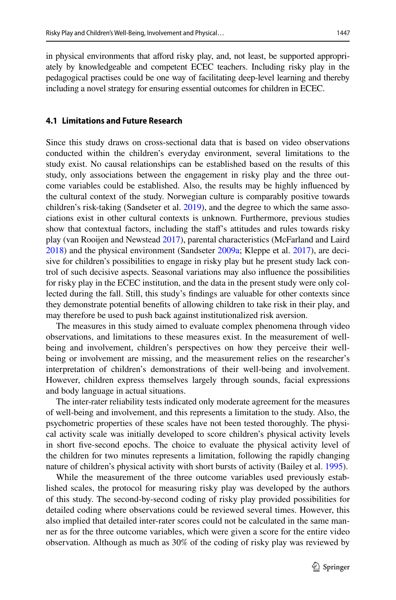in physical environments that aford risky play, and, not least, be supported appropriately by knowledgeable and competent ECEC teachers. Including risky play in the pedagogical practises could be one way of facilitating deep-level learning and thereby including a novel strategy for ensuring essential outcomes for children in ECEC.

## **4.1 Limitations and Future Research**

Since this study draws on cross-sectional data that is based on video observations conducted within the children's everyday environment, several limitations to the study exist. No causal relationships can be established based on the results of this study, only associations between the engagement in risky play and the three outcome variables could be established. Also, the results may be highly infuenced by the cultural context of the study. Norwegian culture is comparably positive towards children's risk-taking (Sandseter et al. [2019\)](#page-16-7), and the degree to which the same associations exist in other cultural contexts is unknown. Furthermore, previous studies show that contextual factors, including the staf's attitudes and rules towards risky play (van Rooijen and Newstead [2017](#page-16-15)), parental characteristics (McFarland and Laird [2018\)](#page-15-21) and the physical environment (Sandseter [2009a;](#page-15-22) Kleppe et al. [2017](#page-14-6)), are decisive for children's possibilities to engage in risky play but he present study lack control of such decisive aspects. Seasonal variations may also infuence the possibilities for risky play in the ECEC institution, and the data in the present study were only collected during the fall. Still, this study's fndings are valuable for other contexts since they demonstrate potential benefts of allowing children to take risk in their play, and may therefore be used to push back against institutionalized risk aversion.

The measures in this study aimed to evaluate complex phenomena through video observations, and limitations to these measures exist. In the measurement of wellbeing and involvement, children's perspectives on how they perceive their wellbeing or involvement are missing, and the measurement relies on the researcher's interpretation of children's demonstrations of their well-being and involvement. However, children express themselves largely through sounds, facial expressions and body language in actual situations.

The inter-rater reliability tests indicated only moderate agreement for the measures of well-being and involvement, and this represents a limitation to the study. Also, the psychometric properties of these scales have not been tested thoroughly. The physical activity scale was initially developed to score children's physical activity levels in short fve-second epochs. The choice to evaluate the physical activity level of the children for two minutes represents a limitation, following the rapidly changing nature of children's physical activity with short bursts of activity (Bailey et al. [1995\)](#page-13-5).

While the measurement of the three outcome variables used previously established scales, the protocol for measuring risky play was developed by the authors of this study. The second-by-second coding of risky play provided possibilities for detailed coding where observations could be reviewed several times. However, this also implied that detailed inter-rater scores could not be calculated in the same manner as for the three outcome variables, which were given a score for the entire video observation. Although as much as 30% of the coding of risky play was reviewed by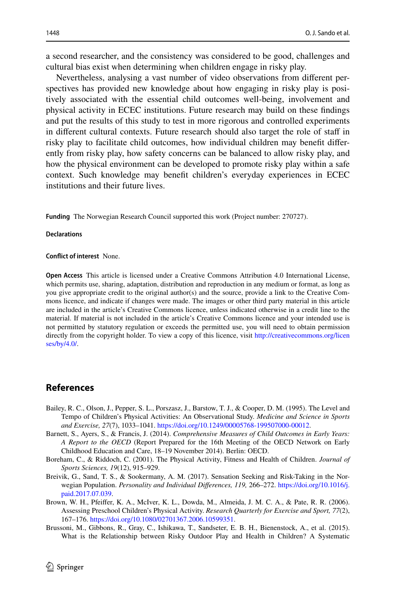a second researcher, and the consistency was considered to be good, challenges and cultural bias exist when determining when children engage in risky play.

Nevertheless, analysing a vast number of video observations from diferent perspectives has provided new knowledge about how engaging in risky play is positively associated with the essential child outcomes well-being, involvement and physical activity in ECEC institutions. Future research may build on these fndings and put the results of this study to test in more rigorous and controlled experiments in diferent cultural contexts. Future research should also target the role of staf in risky play to facilitate child outcomes, how individual children may beneft diferently from risky play, how safety concerns can be balanced to allow risky play, and how the physical environment can be developed to promote risky play within a safe context. Such knowledge may beneft children's everyday experiences in ECEC institutions and their future lives.

**Funding** The Norwegian Research Council supported this work (Project number: 270727).

#### **Declarations**

#### **Confict of interest** None.

**Open Access** This article is licensed under a Creative Commons Attribution 4.0 International License, which permits use, sharing, adaptation, distribution and reproduction in any medium or format, as long as you give appropriate credit to the original author(s) and the source, provide a link to the Creative Commons licence, and indicate if changes were made. The images or other third party material in this article are included in the article's Creative Commons licence, unless indicated otherwise in a credit line to the material. If material is not included in the article's Creative Commons licence and your intended use is not permitted by statutory regulation or exceeds the permitted use, you will need to obtain permission directly from the copyright holder. To view a copy of this licence, visit [http://creativecommons.org/licen](http://creativecommons.org/licenses/by/4.0/) [ses/by/4.0/](http://creativecommons.org/licenses/by/4.0/).

# **References**

- <span id="page-13-5"></span>Bailey, R. C., Olson, J., Pepper, S. L., Porszasz, J., Barstow, T. J., & Cooper, D. M. (1995). The Level and Tempo of Children's Physical Activities: An Observational Study. *Medicine and Science in Sports and Exercise, 27*(7), 1033–1041. <https://doi.org/10.1249/00005768-199507000-00012>.
- <span id="page-13-0"></span>Barnett, S., Ayers, S., & Francis, J. (2014). *Comprehensive Measures of Child Outcomes in Early Years: A Report to the OECD* (Report Prepared for the 16th Meeting of the OECD Network on Early Childhood Education and Care, 18–19 November 2014). Berlin: OECD.
- <span id="page-13-3"></span>Boreham, C., & Riddoch, C. (2001). The Physical Activity, Fitness and Health of Children. *Journal of Sports Sciences, 19*(12), 915–929.
- <span id="page-13-1"></span>Breivik, G., Sand, T. S., & Sookermany, A. M. (2017). Sensation Seeking and Risk-Taking in the Norwegian Population. *Personality and Individual Diferences, 119,* 266–272. [https://doi.org/10.1016/j.](https://doi.org/10.1016/j.paid.2017.07.039) [paid.2017.07.039.](https://doi.org/10.1016/j.paid.2017.07.039)
- <span id="page-13-4"></span>Brown, W. H., Pfeifer, K. A., McIver, K. L., Dowda, M., Almeida, J. M. C. A., & Pate, R. R. (2006). Assessing Preschool Children's Physical Activity. *Research Quarterly for Exercise and Sport, 77*(2), 167–176.<https://doi.org/10.1080/02701367.2006.10599351>.
- <span id="page-13-2"></span>Brussoni, M., Gibbons, R., Gray, C., Ishikawa, T., Sandseter, E. B. H., Bienenstock, A., et al. (2015). What is the Relationship between Risky Outdoor Play and Health in Children? A Systematic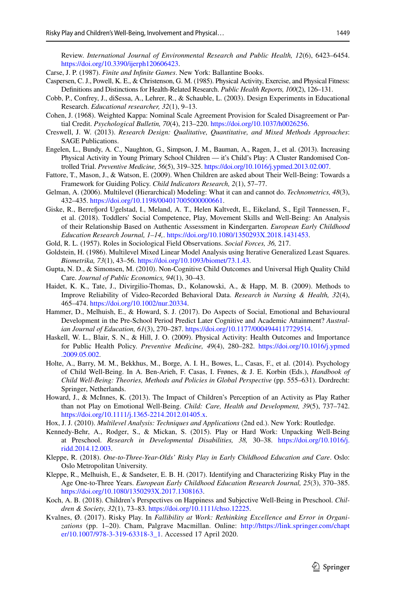Review. *International Journal of Environmental Research and Public Health, 12*(6), 6423–6454. <https://doi.org/10.3390/ijerph120606423>.

<span id="page-14-4"></span>Carse, J. P. (1987). *Finite and Infnite Games*. New York: Ballantine Books.

- <span id="page-14-11"></span>Caspersen, C. J., Powell, K. E., & Christenson, G. M. (1985). Physical Activity, Exercise, and Physical Fitness: Defnitions and Distinctions for Health-Related Research. *Public Health Reports, 100*(2), 126–131.
- <span id="page-14-15"></span>Cobb, P., Confrey, J., diSessa, A., Lehrer, R., & Schauble, L. (2003). Design Experiments in Educational Research. *Educational researcher, 32*(1), 9–13.
- <span id="page-14-18"></span>Cohen, J. (1968). Weighted Kappa: Nominal Scale Agreement Provision for Scaled Disagreement or Partial Credit. *Psychological Bulletin, 70*(4), 213–220. <https://doi.org/10.1037/h0026256>.
- <span id="page-14-14"></span>Creswell, J. W. (2013). *Research Design: Qualitative, Quantitative, and Mixed Methods Approaches*: SAGE Publications.
- <span id="page-14-13"></span>Engelen, L., Bundy, A. C., Naughton, G., Simpson, J. M., Bauman, A., Ragen, J., et al. (2013). Increasing Physical Activity in Young Primary School Children — it's Child's Play: A Cluster Randomised Controlled Trial. *Preventive Medicine, 56*(5), 319–325. <https://doi.org/10.1016/j.ypmed.2013.02.007>.
- <span id="page-14-22"></span>Fattore, T., Mason, J., & Watson, E. (2009). When Children are asked about Their Well-Being: Towards a Framework for Guiding Policy. *Child Indicators Research, 2*(1), 57–77.
- <span id="page-14-20"></span>Gelman, A. (2006). Multilevel (Hierarchical) Modeling: What it can and cannot do. *Technometrics, 48*(3), 432–435.<https://doi.org/10.1198/004017005000000661>.
- <span id="page-14-9"></span>Giske, R., Berreford Ugelstad, I., Meland, A. T., Helen Kaltvedt, E., Eikeland, S., Egil Tønnessen, F., et al. (2018). Toddlers' Social Competence, Play, Movement Skills and Well-Being: An Analysis of their Relationship Based on Authentic Assessment in Kindergarten. *European Early Childhood Education Research Journal, 1–14,*.<https://doi.org/10.1080/1350293X.2018.1431453>.
- <span id="page-14-16"></span>Gold, R. L. (1957). Roles in Sociological Field Observations. *Social Forces, 36,* 217.
- <span id="page-14-19"></span>Goldstein, H. (1986). Multilevel Mixed Linear Model Analysis using Iterative Generalized Least Squares. *Biometrika, 73*(1), 43–56. [https://doi.org/10.1093/biomet/73.1.43.](https://doi.org/10.1093/biomet/73.1.43)
- <span id="page-14-1"></span>Gupta, N. D., & Simonsen, M. (2010). Non-Cognitive Child Outcomes and Universal High Quality Child Care. *Journal of Public Economics, 94*(1), 30–43.
- <span id="page-14-17"></span>Haidet, K. K., Tate, J., Divirgilio-Thomas, D., Kolanowski, A., & Happ, M. B. (2009). Methods to Improve Reliability of Video-Recorded Behavioral Data. *Research in Nursing & Health, 32*(4), 465–474. [https://doi.org/10.1002/nur.20334.](https://doi.org/10.1002/nur.20334)
- <span id="page-14-0"></span>Hammer, D., Melhuish, E., & Howard, S. J. (2017). Do Aspects of Social, Emotional and Behavioural Development in the Pre-School Period Predict Later Cognitive and Academic Attainment? *Australian Journal of Education, 61*(3), 270–287. <https://doi.org/10.1177/0004944117729514>.
- <span id="page-14-12"></span>Haskell, W. L., Blair, S. N., & Hill, J. O. (2009). Physical Activity: Health Outcomes and Importance for Public Health Policy. *Preventive Medicine, 49*(4), 280–282. [https://doi.org/10.1016/j.ypmed](https://doi.org/10.1016/j.ypmed.2009.05.002) [.2009.05.002](https://doi.org/10.1016/j.ypmed.2009.05.002).
- <span id="page-14-7"></span>Holte, A., Barry, M. M., Bekkhus, M., Borge, A. I. H., Bowes, L., Casas, F., et al. (2014). Psychology of Child Well-Being. In A. Ben-Arieh, F. Casas, I. Frønes, & J. E. Korbin (Eds.), *Handbook of Child Well-Being: Theories, Methods and Policies in Global Perspective* (pp. 555–631). Dordrecht: Springer, Netherlands.
- <span id="page-14-10"></span>Howard, J., & McInnes, K. (2013). The Impact of Children's Perception of an Activity as Play Rather than not Play on Emotional Well-Being. *Child: Care, Health and Development, 39*(5), 737–742. <https://doi.org/10.1111/j.1365-2214.2012.01405.x>.
- <span id="page-14-21"></span>Hox, J. J. (2010). *Multilevel Analysis: Techniques and Applications* (2nd ed.). New York: Routledge.
- <span id="page-14-8"></span>Kennedy-Behr, A., Rodger, S., & Mickan, S. (2015). Play or Hard Work: Unpacking Well-Being at Preschool. *Research in Developmental Disabilities, 38,* 30–38. [https://doi.org/10.1016/j.](https://doi.org/10.1016/j.ridd.2014.12.003) [ridd.2014.12.003](https://doi.org/10.1016/j.ridd.2014.12.003).
- <span id="page-14-5"></span>Kleppe, R. (2018). *One-to-Three-Year-Olds' Risky Play in Early Childhood Education and Care*. Oslo: Oslo Metropolitan University.
- <span id="page-14-6"></span>Kleppe, R., Melhuish, E., & Sandseter, E. B. H. (2017). Identifying and Characterizing Risky Play in the Age One-to-Three Years. *European Early Childhood Education Research Journal, 25*(3), 370–385. <https://doi.org/10.1080/1350293X.2017.1308163>.
- <span id="page-14-2"></span>Koch, A. B. (2018). Children's Perspectives on Happiness and Subjective Well-Being in Preschool. *Children & Society, 32*(1), 73–83. [https://doi.org/10.1111/chso.12225.](https://doi.org/10.1111/chso.12225)
- <span id="page-14-3"></span>Kvalnes, Ø. (2017). Risky Play. In *Fallibility at Work: Rethinking Excellence and Error in Organizations* (pp. 1–20). Cham, Palgrave Macmillan. Online: [http://https://link.springer.com/chapt](https://link.springer.com/chapter/10.1007/978-3-319-63318-3_1) [er/10.1007/978-3-319-63318-3\\_1.](https://link.springer.com/chapter/10.1007/978-3-319-63318-3_1) Accessed 17 April 2020.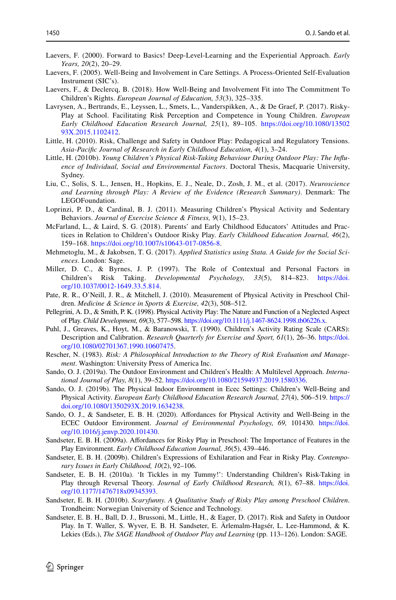- <span id="page-15-0"></span>Laevers, F. (2000). Forward to Basics! Deep-Level-Learning and the Experiential Approach. *Early Years, 20*(2), 20–29.
- <span id="page-15-14"></span>Laevers, F. (2005). Well-Being and Involvement in Care Settings. A Process-Oriented Self-Evaluation Instrument (SIC's).
- <span id="page-15-15"></span>Laevers, F., & Declercq, B. (2018). How Well-Being and Involvement Fit into The Commitment To Children's Rights. *European Journal of Education, 53*(3), 325–335.
- <span id="page-15-6"></span>Lavrysen, A., Bertrands, E., Leyssen, L., Smets, L., Vanderspikken, A., & De Graef, P. (2017). Risky-Play at School. Facilitating Risk Perception and Competence in Young Children. *European Early Childhood Education Research Journal, 25*(1), 89–105. [https://doi.org/10.1080/13502](https://doi.org/10.1080/1350293X.2015.1102412) [93X.2015.1102412.](https://doi.org/10.1080/1350293X.2015.1102412)
- <span id="page-15-8"></span>Little, H. (2010). Risk, Challenge and Safety in Outdoor Play: Pedagogical and Regulatory Tensions. *Asia-Pacifc Journal of Research in Early Childhood Education, 4*(1), 3–24.
- <span id="page-15-2"></span>Little, H. (2010b). *Young Children's Physical Risk-Taking Behaviour During Outdoor Play: The Infuence of Individual, Social and Environmental Factors*. Doctoral Thesis, Macquarie University, Sydney.
- <span id="page-15-9"></span>Liu, C., Solis, S. L., Jensen, H., Hopkins, E. J., Neale, D., Zosh, J. M., et al. (2017). *Neuroscience and Learning through Play: A Review of the Evidence (Research Summary)*. Denmark: The LEGOFoundation.
- <span id="page-15-17"></span>Loprinzi, P. D., & Cardinal, B. J. (2011). Measuring Children's Physical Activity and Sedentary Behaviors. *Journal of Exercise Science & Fitness, 9*(1), 15–23.
- <span id="page-15-21"></span>McFarland, L., & Laird, S. G. (2018). Parents' and Early Childhood Educators' Attitudes and Practices in Relation to Children's Outdoor Risky Play. *Early Childhood Education Journal, 46*(2), 159–168. <https://doi.org/10.1007/s10643-017-0856-8>.
- <span id="page-15-19"></span>Mehmetoglu, M., & Jakobsen, T. G. (2017). *Applied Statistics using Stata. A Guide for the Social Sciences*. London: Sage.
- <span id="page-15-20"></span>Miller, D. C., & Byrnes, J. P. (1997). The Role of Contextual and Personal Factors in Children's Risk Taking. *Developmental Psychology, 33*(5), 814–823. [https://doi.](https://doi.org/10.1037/0012-1649.33.5.814) [org/10.1037/0012-1649.33.5.814](https://doi.org/10.1037/0012-1649.33.5.814).
- <span id="page-15-18"></span>Pate, R. R., O'Neill, J. R., & Mitchell, J. (2010). Measurement of Physical Activity in Preschool Children. *Medicine & Science in Sports & Exercise, 42*(3), 508–512.
- <span id="page-15-10"></span>Pellegrini, A. D., & Smith, P. K. (1998). Physical Activity Play: The Nature and Function of a Neglected Aspect of Play. *Child Development, 69*(3), 577–598. <https://doi.org/10.1111/j.1467-8624.1998.tb06226.x>.
- <span id="page-15-16"></span>Puhl, J., Greaves, K., Hoyt, M., & Baranowski, T. (1990). Children's Activity Rating Scale (CARS): Description and Calibration. *Research Quarterly for Exercise and Sport, 61*(1), 26–36. [https://doi.](https://doi.org/10.1080/02701367.1990.10607475) [org/10.1080/02701367.1990.10607475](https://doi.org/10.1080/02701367.1990.10607475).
- <span id="page-15-1"></span>Rescher, N. (1983). *Risk: A Philosophical Introduction to the Theory of Risk Evaluation and Management*. Washington: University Press of America Inc.
- <span id="page-15-12"></span>Sando, O. J. (2019a). The Outdoor Environment and Children's Health: A Multilevel Approach. *International Journal of Play, 8*(1), 39–52. <https://doi.org/10.1080/21594937.2019.1580336>.
- <span id="page-15-11"></span>Sando, O. J. (2019b). The Physical Indoor Environment in Ecec Settings: Children's Well-Being and Physical Activity. *European Early Childhood Education Research Journal, 27*(4), 506–519. [https://](https://doi.org/10.1080/1350293X.2019.1634238) [doi.org/10.1080/1350293X.2019.1634238](https://doi.org/10.1080/1350293X.2019.1634238).
- <span id="page-15-13"></span>Sando, O. J., & Sandseter, E. B. H. (2020). Afordances for Physical Activity and Well-Being in the ECEC Outdoor Environment. *Journal of Environmental Psychology, 69,* 101430. [https://doi.](https://doi.org/10.1016/j.jenvp.2020.101430) [org/10.1016/j.jenvp.2020.101430.](https://doi.org/10.1016/j.jenvp.2020.101430)
- <span id="page-15-22"></span>Sandseter, E. B. H. (2009a). Afordances for Risky Play in Preschool: The Importance of Features in the Play Environment. *Early Childhood Education Journal, 36*(5), 439–446.
- <span id="page-15-5"></span>Sandseter, E. B. H. (2009b). Children's Expressions of Exhilaration and Fear in Risky Play. *Contemporary Issues in Early Childhood, 10*(2), 92–106.
- <span id="page-15-4"></span>Sandseter, E. B. H. (2010a). 'It Tickles in my Tummy!': Understanding Children's Risk-Taking in Play through Reversal Theory. *Journal of Early Childhood Research, 8*(1), 67–88. [https://doi.](https://doi.org/10.1177/1476718x09345393) [org/10.1177/1476718x09345393](https://doi.org/10.1177/1476718x09345393).
- <span id="page-15-3"></span>Sandseter, E. B. H. (2010b). *Scaryfunny. A Qualitative Study of Risky Play among Preschool Children*. Trondheim: Norwegian University of Science and Technology.
- <span id="page-15-7"></span>Sandseter, E. B. H., Ball, D. J., Brussoni, M., Little, H., & Eager, D. (2017). Risk and Safety in Outdoor Play. In T. Waller, S. Wyver, E. B. H. Sandseter, E. Ärlemalm-Hagsér, L. Lee-Hammond, & K. Lekies (Eds.), *The SAGE Handbook of Outdoor Play and Learning* (pp. 113–126). London: SAGE.